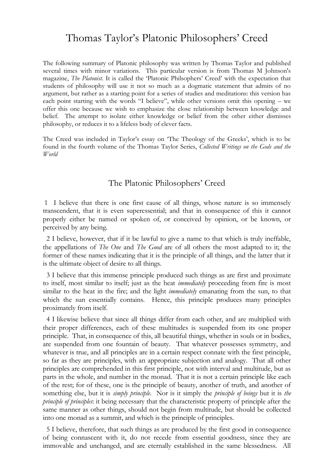## Thomas Taylor's Platonic Philosophers' Creed

The following summary of Platonic philosophy was written by Thomas Taylor and published several times with minor variations. This particular version is from Thomas M Johnson's magazine, *The Platonist*. It is called the "Platonic Philsophers" Creed" with the expectation that students of philosophy will use it not so much as a dogmatic statement that admits of no argument, but rather as a starting point for a series of studies and meditations: this version has each point starting with the words "I believe", while other versions omit this opening – we offer this one because we wish to emphasize the close relationship between knowledge and belief. The attempt to isolate either knowledge or belief from the other either dismisses philosophy, or reduces it to a lifeless body of clever facts.

The Creed was included in Taylor's essay on 'The Theology of the Greeks', which is to be found in the fourth volume of the Thomas Taylor Series, *Collected Writings on the Gods and the World*

## The Platonic Philosophers' Creed

1 I believe that there is one first cause of all things, whose nature is so immensely transcendent, that it is even superessential; and that in consequence of this it cannot properly either be named or spoken of, or conceived by opinion, or be known, or perceived by any being.

 2 I believe, however, that if it be lawful to give a name to that which is truly ineffable, the appellations of *The One* and *The Good* are of all others the most adapted to it; the former of these names indicating that it is the principle of all things, and the latter that it is the ultimate object of desire to all things.

 3 I believe that this immense principle produced such things as are first and proximate to itself, most similar to itself; just as the heat *immediately* proceeding from fire is most similar to the heat in the fire; and the light *immediately* emanating from the sun, to that which the sun essentially contains. Hence, this principle produces many principles proximately from itself.

 4 I likewise believe that since all things differ from each other, and are multiplied with their proper differences, each of these multitudes is suspended from its one proper principle. That, in consequence of this, all beautiful things, whether in souls or in bodies, are suspended from one fountain of beauty. That whatever possesses symmetry, and whatever is true, and all principles are in a certain respect connate with the first principle, so far as they are principles, with an appropriate subjection and analogy. That all other principles are comprehended in this first principle, not with interval and multitude, but as parts in the whole, and number in the monad. That it is not a certain principle like each of the rest; for of these, one is the principle of beauty, another of truth, and another of something else, but it is *simply principle*. Nor is it simply the *principle of beings* but it is *the principle of principles*: it being necessary that the characteristic property of principle after the same manner as other things, should not begin from multitude, but should be collected into one monad as a summit, and which is the principle of principles.

 5 I believe, therefore, that such things as are produced by the first good in consequence of being connascent with it, do not recede from essential goodness, since they are immovable and unchanged, and are eternally established in the same blessedness. All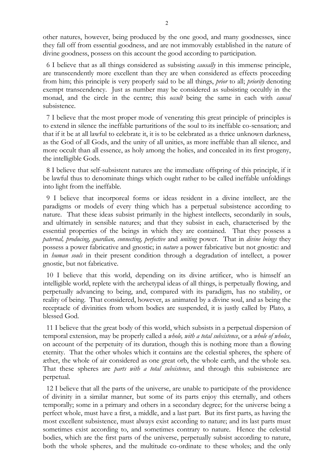other natures, however, being produced by the one good, and many goodnesses, since they fall off from essential goodness, and are not immovably established in the nature of divine goodness, possess on this account the good according to participation.

 6 I believe that as all things considered as subsisting *causally* in this immense principle, are transcendently more excellent than they are when considered as effects proceeding from him; this principle is very properly said to be all things, *prior* to all; *priority* denoting exempt transcendency. Just as number may be considered as subsisting occultly in the monad, and the circle in the centre; this *occult* being the same in each with *causal* subsistence.

 7 I believe that the most proper mode of venerating this great principle of principles is to extend in silence the ineffable parturitions of the soul to its ineffable co-sensation; and that if it be at all lawful to celebrate it, it is to be celebrated as a thrice unknown darkness, as the God of all Gods, and the unity of all unities, as more ineffable than all silence, and more occult than all essence, as holy among the holies, and concealed in its first progeny, the intelligible Gods.

 8 I believe that self-subsistent natures are the immediate offspring of this principle, if it be lawful thus to denominate things which ought rather to be called ineffable unfoldings into light from the ineffable.

 9 I believe that incorporeal forms or ideas resident in a divine intellect, are the paradigms or models of every thing which has a perpetual subsistence according to nature. That these ideas subsist primarily in the highest intellects, secondarily in souls, and ultimately in sensible natures; and that they subsist in each, characterised by the essential properties of the beings in which they are contained. That they possess a *paternal, producing, guardian, connecting, perfective* and *uniting* power. That in *divine beings* they possess a power fabricative and gnostic; in *nature* a power fabricative but not gnostic: and in *human souls* in their present condition through a degradation of intellect, a power gnostic, but not fabricative.

 10 I believe that this world, depending on its divine artificer, who is himself an intelligible world, replete with the archetypal ideas of all things, is perpetually flowing, and perpetually advancing to being, and, compared with its paradigm, has no stability, or reality of being. That considered, however, as animated by a divine soul, and as being the receptacle of divinities from whom bodies are suspended, it is justly called by Plato, a blessed God.

 11 I believe that the great body of this world, which subsists in a perpetual dispersion of temporal extension, may be properly called a *whole, with a total subsistence*, or a *whole of wholes*, on account of the perpetuity of its duration, though this is nothing more than a flowing eternity. That the other wholes which it contains are the celestial spheres, the sphere of æther, the whole of air considered as one great orb, the whole earth, and the whole sea. That these spheres are *parts with a total subsistence*, and through this subsistence are perpetual.

 12 I believe that all the parts of the universe, are unable to participate of the providence of divinity in a similar manner, but some of its parts enjoy this eternally, and others temporally; some in a primary and others in a secondary degree; for the universe being a perfect whole, must have a first, a middle, and a last part. But its first parts, as having the most excellent subsistence, must always exist according to nature; and its last parts must sometimes exist according to, and sometimes contrary to nature. Hence the celestial bodies, which are the first parts of the universe, perpetually subsist according to nature, both the whole spheres, and the multitude co-ordinate to these wholes; and the only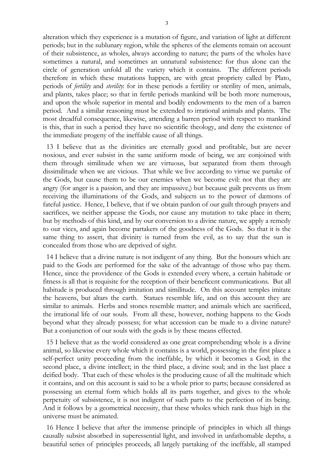alteration which they experience is a mutation of figure, and variation of light at different periods; but in the sublunary region, while the spheres of the elements remain on account of their subsistence, as wholes, always according to nature; the parts of the wholes have sometimes a natural, and sometimes an unnatural subsistence: for thus alone can the circle of generation unfold all the variety which it contains. The different periods therefore in which these mutations happen, are with great propriety called by Plato, periods of *fertility* and *sterility*: for in these periods a fertility or sterility of men, animals, and plants, takes place; so that in fertile periods mankind will be both more numerous, and upon the whole superior in mental and bodily endowments to the men of a barren period. And a similar reasoning must be extended to irrational animals and plants. The most dreadful consequence, likewise, attending a barren period with respect to mankind is this, that in such a period they have no scientific theology, and deny the existence of the immediate progeny of the ineffable cause of all things.

 13 I believe that as the divinities are eternally good and profitable, but are never noxious, and ever subsist in the same uniform mode of being, we are conjoined with them through similitude when we are virtuous, but separated from them through dissimilitude when we are vicious. That while we live according to virtue we partake of the Gods, but cause them to be our enemies when we become evil: not that they are angry (for anger is a passion, and they are impassive,) but because guilt prevents us from receiving the illuminations of the Gods, and subjects us to the power of dæmons of fateful justice. Hence, I believe, that if we obtain pardon of our guilt through prayers and sacrifices, we neither appease the Gods, nor cause any mutation to take place in them; but by methods of this kind, and by our conversion to a divine nature, we apply a remedy to our vices, and again become partakers of the goodness of the Gods. So that it is the same thing to assert, that divinity is turned from the evil, as to say that the sun is concealed from those who are deprived of sight.

 14 I believe that a divine nature is not indigent of any thing. But the honours which are paid to the Gods are performed for the sake of the advantage of those who pay them. Hence, since the providence of the Gods is extended every where, a certain habitude or fitness is all that is requisite for the reception of their beneficent communications. But all habitude is produced through imitation and similitude. On this account temples imitate the heavens, but altars the earth. Statues resemble life, and on this account they are similar to animals. Herbs and stones resemble matter; and animals which are sacrificed, the irrational life of our souls. From all these, however, nothing happens to the Gods beyond what they already possess; for what accession can be made to a divine nature? But a conjunction of our souls with the gods is by these means effected.

 15 I believe that as the world considered as one great comprehending whole is a divine animal, so likewise every whole which it contains is a world, possessing in the first place a self-perfect unity proceeding from the ineffable, by which it becomes a God; in the second place, a divine intellect; in the third place, a divine soul; and in the last place a deified body. That each of these wholes is the producing cause of all the multitude which it contains, and on this account is said to be a whole prior to parts; because considered as possessing an eternal form which holds all its parts together, and gives to the whole perpetuity of subsistence, it is not indigent of such parts to the perfection of its being. And it follows by a geometrical necessity, that these wholes which rank thus high in the universe must be animated.

 16 Hence I believe that after the immense principle of principles in which all things causally subsist absorbed in superessential light, and involved in unfathomable depths, a beautiful series of principles proceeds, all largely partaking of the ineffable, all stamped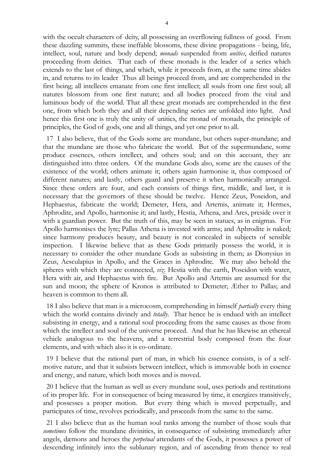with the occult characters of deity, all possessing an overflowing fullness of good. From these dazzling summits, these ineffable blossoms, these divine propagations - being, life, intellect, soul, nature and body depend; *monads* suspended from *unities*, deified natures proceeding from deities. That each of these monads is the leader of a series which extends to the last of things, and which, while it proceeds from, at the same time abides in, and returns to its leader Thus all beings proceed from, and are comprehended in the first being; all intellects emanate from one first intellect; all souls from one first soul; all natures blossom from one first nature; and all bodies proceed from the vital and luminous body of the world. That all these great monads are comprehended in the first one, from which both they and all their depending series are unfolded into light. And hence this first one is truly the unity of unities, the monad of monads, the principle of principles, the God of gods, one and all things, and yet one prior to all.

 17 I also believe, that of the Gods some are mundane, but others super-mundane; and that the mundane are those who fabricate the world. But of the supermundane, some produce essences, others intellect, and others soul; and on this account, they are distinguished into three orders. Of the mundane Gods also, some are the causes of the existence of the world; others animate it; others again harmonise it, thus composed of different natures; and lastly, others guard and preserve it when harmonically arranged. Since these orders are four, and each consists of things first, middle, and last, it is necessary that the governors of these should be twelve. Hence Zeus, Poseidon, and Hephaestus, fabricate the world; Demeter, Hera, and Artemis, animate it; Hermes, Aphrodite, and Apollo, harmonise it; and lastly, Hestia, Athena, and Ares, preside over it with a guardian power. But the truth of this, may be seen in statues, as in enigmas. For Apollo harmonises the lyre; Pallas Athena is invested with arms; and Aphrodite is naked; since harmony produces beauty, and beauty is not concealed in subjects of sensible inspection. I likewise believe that as these Gods primarily possess the world, it is necessary to consider the other mundane Gods as subsisting in them; as Dionysius in Zeus, Aesculapius in Apollo, and the Graces in Aphrodite. We may also behold the spheres with which they are connected, *viz*. Hestia with the earth, Poseidon with water, Hera with air, and Hephaestus with fire. But Apollo and Artemis are assumed for the sun and moon; the sphere of Kronos is attributed to Demeter; Æther to Pallas; and heaven is common to them all.

 18 I also believe that man is a microcosm, comprehending in himself *partially* every thing which the world contains divinely and *totally*. That hence he is endued with an intellect subsisting in energy, and a rational soul proceeding from the same causes as those from which the intellect and soul of the universe proceed. And that he has likewise an ethereal vehicle analogous to the heavens, and a terrestrial body composed from the four elements, and with which also it is co-ordinate.

 19 I believe that the rational part of man, in which his essence consists, is of a selfmotive nature, and that it subsists between intellect, which is immovable both in essence and energy, and nature, which both moves and is moved.

 20 I believe that the human as well as every mundane soul, uses periods and restitutions of its proper life. For in consequence of being measured by time, it energizes transitively, and possesses a proper motion. But every thing which is moved perpetually, and participates of time, revolves periodically, and proceeds from the same to the same.

 21 I also believe that as the human soul ranks among the number of those souls that *sometimes* follow the mundane divinities, in consequence of subsisting immediately after angels, dæmons and heroes the *perpetual* attendants of the Gods, it possesses a power of descending infinitely into the sublunary region, and of ascending from thence to real